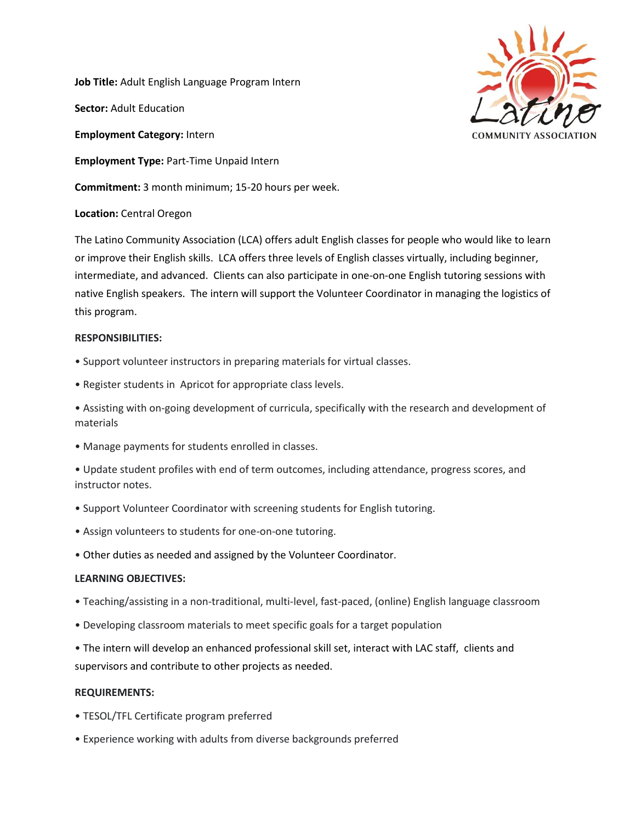**Job Title:** Adult English Language Program Intern

**Sector:** Adult Education

**Employment Category:** Intern

**Employment Type:** Part-Time Unpaid Intern

**Commitment:** 3 month minimum; 15-20 hours per week.

## **Location:** Central Oregon

The Latino Community Association (LCA) offers adult English classes for people who would like to learn or improve their English skills. LCA offers three levels of English classes virtually, including beginner, intermediate, and advanced. Clients can also participate in one-on-one English tutoring sessions with native English speakers. The intern will support the Volunteer Coordinator in managing the logistics of this program.

### **RESPONSIBILITIES:**

- Support volunteer instructors in preparing materials for virtual classes.
- Register students in Apricot for appropriate class levels.
- Assisting with on-going development of curricula, specifically with the research and development of materials
- Manage payments for students enrolled in classes.

• Update student profiles with end of term outcomes, including attendance, progress scores, and instructor notes.

- Support Volunteer Coordinator with screening students for English tutoring.
- Assign volunteers to students for one-on-one tutoring.
- Other duties as needed and assigned by the Volunteer Coordinator.

### **LEARNING OBJECTIVES:**

- Teaching/assisting in a non-traditional, multi-level, fast-paced, (online) English language classroom
- Developing classroom materials to meet specific goals for a target population
- The intern will develop an enhanced professional skill set, interact with LAC staff, clients and supervisors and contribute to other projects as needed.

# **REQUIREMENTS:**

- TESOL/TFL Certificate program preferred
- Experience working with adults from diverse backgrounds preferred